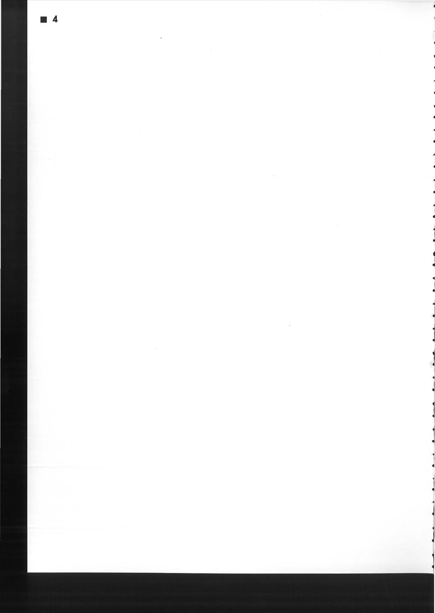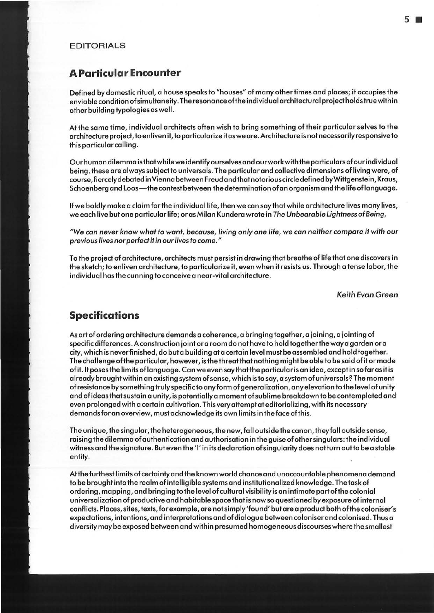#### EDITORIALS

# **A Particular Encounter**

Defined by domestic ritual, a house speaks to "houses" of many other times and places; it occupies the enviable condition of simultaneity. The resonance of the individual architectural project holds true within other building typologies as well.

At the same time, individual architects often wish to bring something of their particular selves to the architecture project, to enliven it, to particularize it as we are. Architecture is not necessarily responsive to this particular calling.

Our human dilemma is thatwhilewe identify ourselves and ourworkwith the particulars ofourindividual being, these are always subject to universals. The particular and collective dimensions of living were, of course, fiercely debated in Vienna between Freud andthatnotoriouscircledefined by Wittgenstein, Kraus, Schoenberg and Loos—the contest between the determination of an organism and the life of language.

lfwe boldly make a claim for the individual life, then we can say that while architecture lives many lives, we each live but one particular life; or as Milan Kunderawrote in *The Unbearable Lightness of Being,* 

"We can never *know what to want, because, living only* one *life, we can neither compare it with* our *previous lives nor perfect it in* our *lives to* come. */1* 

To the project of architecture, architects must persist in drawing that breathe of life that one discovers in the sketch; to enliven architecture, to particularize it, even when it resists us. Through a tense labor, the individual has the cunning to conceive a near-vital architecture.

Keith Evan Green

## **Specifications**

As art of ordering architecture demands a coherence, a bringing together, a joining, a jointing of specific differences. A construction joint or a room do not have to hold together the way a garden or a city, which is neverfinished, do but a building at a certain level must be assembled and hold together. The challenge of the particular, however, isthethreatthat nothing might be able to be said of it or made of it. ltposesthe limits of language. Canweevensaythatthe particular is an idea, exceptinsofarasitis already brought within an existing system of sense, which is to say, a system of universals? The moment of resistance by something trulyspecifictoanyform of generalization, any elevation to the level of unity and of ideas that sustain a unity, is potentially a moment of sublime breakdown to be contemplated and even prolonged with a certain cultivation. Thisveryattemptateditorializing, with its necessary demands for an overview, must acknowledge its own limits in the face of this.

The unique, the singular, the heterogeneous, the new, fall outside the canon, they fall outside sense, raising the dilemma ofauthentication and authorisation in the guise ofother singulars: the individual witness and the signature. But even the 'I' in its declaration of si ngu la rity does not turn out to be a stable entity.

At the furthest limits of certainty and the known world chance and unaccountable phenomena demand to be brought into the realm of intelligible systems and institutionalized knowledge. The task of ordering, mapping, and bringing to the level of cultural visibility is an intimate part of the colonial universalization of productive and habitable space that is now so questioned by exposure of internal conflicts. Places, sites, texts, for example, are not simply 'found' but are a product both of the coloniser's expectations, intentions, and interpretations and of dialogue between coloniser and colonised. Thus a diversity may be exposed between and within presumed homogeneous discourses where the smallest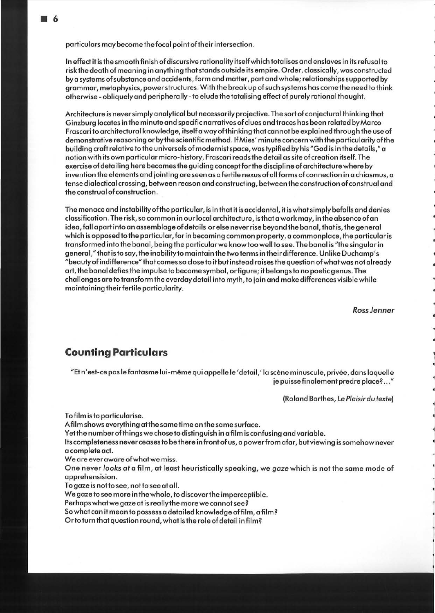particulars may become the focal point of their intersection .

In effect it is the smooth finish of discursive rationality itself which totalises and enslaves in its refusal to risk the death of meaning in anything that stands outside its empire. Order, classically, was constructed bya systems of substance and accidents, form and matter, part and whole; relationships supported by grammar, metaphysics, power structures. With the break up of such systems has come the need to think otherwise - obliquely and peripherally-to elude thetotalising effect of purely rational thought.

Architecture is never simply analytical but necessarily projective. The sort of conjectural thinking that Ginzburg locates in the minute and specific narratives of clues and traces has been related by Marco Frascari to architectural knowledge, itselfa way of thinking that cannot be explained through the use of demonstrative reasoning or by the scientific method. If Mies' minute concern with the particularityof the building craft relative to the universals of modernist space, was typified by his "God is in the details," a notion with its own particular micro-history, Frascari reads the detail as site of creation itself. The exercise of detailing here becomes the guiding concept for the discipline ofarchitecturewhere by invention the elements and jointing are seen as a fertile nexus of all forms of connection in a chiasmus, a tense dialectical crossing, between reason and constructing, between the construction of construal and the construal of construction.

The menace and instabilityofthe particular, is in that it is accidental, it is what simply befalls and denies classification. The risk, so common in our local architecture, isthataworkmay, in theabsenceofan idea, fall apart into an assemblage of details or else never rise beyond the banal, that is, the general which is opposed to the particular, for in becoming common property, a commonplace, the particular is transformed into the banal, being the particular we know too well to see. The banal is "the singular in general," that is to say, the inability to maintain the two terms in their difference. Unlike Duchamp's "beauty of indifference" that comes so close to it but instead raises the question of what was not already art, the banal defies the impulse to become symbol, orfigure; it belongs to no poetic genus. The challenges are to transform the everdaydetail into myth, to join and make differences visible while maintaining theirfertile particularity.

*Ross* Jenner

# **Counting Particulars**

"Et n' est-ce pas lefantasme lui-meme qui appelle le' detail,' la scene minuscule, privee, dons laquelle je puissefinalement predre place? ... "

(Roland Barthes, *Le Ploisirdu* texte)

To film is to particularise.

A film shows everything at the same time on the same surface.

Yet the number of things we chose to distinguish in a film is confusing and variable.

Its completeness never ceases to bethere in front of us, a power from afar, but viewing is somehow never a complete act.

We are ever aware of what we miss.

One never *looks at* a film, at least heuristically speaking, we *gaze* which is not the same mode of apprehensision.

To gaze is not to see, not to see at all.

We gaze to see more in the whole, to discover the imperceptible.

Perhaps what we gaze at is really the more we cannot see?

So what can it mean to possess a detailed knowledge of film, a film?

Orto turn that question round, what is the role of detail in film?